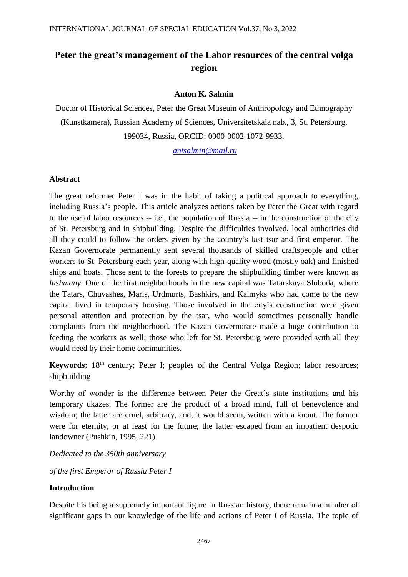# **Peter the great's management of the Labor resources of the central volga region**

### **Anton K. Salmin**

Doctor of Historical Sciences, Peter the Great Museum of Anthropology and Ethnography (Kunstkamera), Russian Academy of Sciences, Universitetskaia nab., 3, St. Petersburg, 199034, Russia, ORCID: 0000-0002-1072-9933.

*[antsalmin@mail.ru](mailto:antsalmin@mail.ru)*

#### **Abstract**

The great reformer Peter I was in the habit of taking a political approach to everything, including Russia's people. This article analyzes actions taken by Peter the Great with regard to the use of labor resources -- i.e., the population of Russia -- in the construction of the city of St. Petersburg and in shipbuilding. Despite the difficulties involved, local authorities did all they could to follow the orders given by the country's last tsar and first emperor. The Kazan Governorate permanently sent several thousands of skilled craftspeople and other workers to St. Petersburg each year, along with high-quality wood (mostly oak) and finished ships and boats. Those sent to the forests to prepare the shipbuilding timber were known as *lashmany*. One of the first neighborhoods in the new capital was Tatarskaya Sloboda, where the Tatars, Chuvashes, Maris, Urdmurts, Bashkirs, and Kalmyks who had come to the new capital lived in temporary housing. Those involved in the city's construction were given personal attention and protection by the tsar, who would sometimes personally handle complaints from the neighborhood. The Kazan Governorate made a huge contribution to feeding the workers as well; those who left for St. Petersburg were provided with all they would need by their home communities.

**Keywords:** 18<sup>th</sup> century; Peter I; peoples of the Central Volga Region; labor resources; shipbuilding

Worthy of wonder is the difference between Peter the Great's state institutions and his temporary ukazes. The former are the product of a broad mind, full of benevolence and wisdom; the latter are cruel, arbitrary, and, it would seem, written with a knout. The former were for eternity, or at least for the future; the latter escaped from an impatient despotic landowner (Pushkin, 1995, 221).

*Dedicated to the 350th anniversary* 

*of the first Emperor of Russia Peter I*

#### **Introduction**

Despite his being a supremely important figure in Russian history, there remain a number of significant gaps in our knowledge of the life and actions of Peter I of Russia. The topic of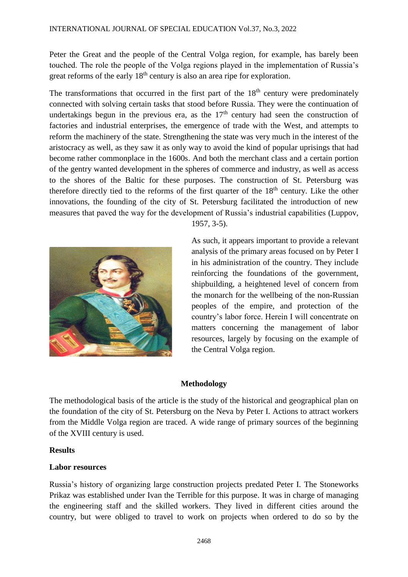Peter the Great and the people of the Central Volga region, for example, has barely been touched. The role the people of the Volga regions played in the implementation of Russia's great reforms of the early 18<sup>th</sup> century is also an area ripe for exploration.

The transformations that occurred in the first part of the  $18<sup>th</sup>$  century were predominately connected with solving certain tasks that stood before Russia. They were the continuation of undertakings begun in the previous era, as the  $17<sup>th</sup>$  century had seen the construction of factories and industrial enterprises, the emergence of trade with the West, and attempts to reform the machinery of the state. Strengthening the state was very much in the interest of the aristocracy as well, as they saw it as only way to avoid the kind of popular uprisings that had become rather commonplace in the 1600s. And both the merchant class and a certain portion of the gentry wanted development in the spheres of commerce and industry, as well as access to the shores of the Baltic for these purposes. The construction of St. Petersburg was therefore directly tied to the reforms of the first quarter of the  $18<sup>th</sup>$  century. Like the other innovations, the founding of the city of St. Petersburg facilitated the introduction of new measures that paved the way for the development of Russia's industrial capabilities (Luppov,



1957, 3-5).

As such, it appears important to provide a relevant analysis of the primary areas focused on by Peter I in his administration of the country. They include reinforcing the foundations of the government, shipbuilding, a heightened level of concern from the monarch for the wellbeing of the non-Russian peoples of the empire, and protection of the country's labor force. Herein I will concentrate on matters concerning the management of labor resources, largely by focusing on the example of the Central Volga region.

## **Methodology**

The methodological basis of the article is the study of the historical and geographical plan on the foundation of the city of St. Petersburg on the Neva by Peter I. Actions to attract workers from the Middle Volga region are traced. A wide range of primary sources of the beginning of the XVIII century is used.

## **Results**

## **Labor resources**

Russia's history of organizing large construction projects predated Peter I. The Stoneworks Prikaz was established under Ivan the Terrible for this purpose. It was in charge of managing the engineering staff and the skilled workers. They lived in different cities around the country, but were obliged to travel to work on projects when ordered to do so by the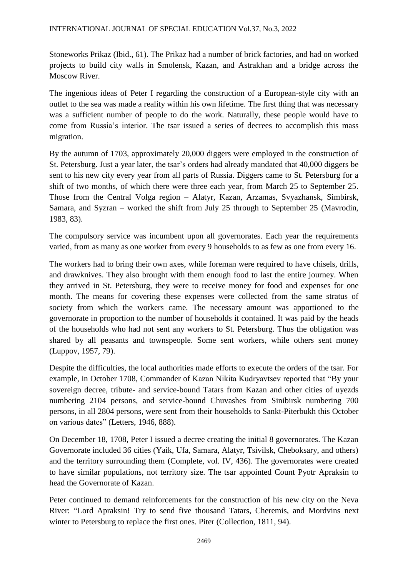Stoneworks Prikaz (Ibid., 61). The Prikaz had a number of brick factories, and had on worked projects to build city walls in Smolensk, Kazan, and Astrakhan and a bridge across the Moscow River.

The ingenious ideas of Peter I regarding the construction of a European-style city with an outlet to the sea was made a reality within his own lifetime. The first thing that was necessary was a sufficient number of people to do the work. Naturally, these people would have to come from Russia's interior. The tsar issued a series of decrees to accomplish this mass migration.

By the autumn of 1703, approximately 20,000 diggers were employed in the construction of St. Petersburg. Just a year later, the tsar's orders had already mandated that 40,000 diggers be sent to his new city every year from all parts of Russia. Diggers came to St. Petersburg for a shift of two months, of which there were three each year, from March 25 to September 25. Those from the Central Volga region – Alatyr, Kazan, Arzamas, Svyazhansk, Simbirsk, Samara, and Syzran – worked the shift from July 25 through to September 25 (Mavrodin, 1983, 83).

The compulsory service was incumbent upon all governorates. Each year the requirements varied, from as many as one worker from every 9 households to as few as one from every 16.

The workers had to bring their own axes, while foreman were required to have chisels, drills, and drawknives. They also brought with them enough food to last the entire journey. When they arrived in St. Petersburg, they were to receive money for food and expenses for one month. The means for covering these expenses were collected from the same stratus of society from which the workers came. The necessary amount was apportioned to the governorate in proportion to the number of households it contained. It was paid by the heads of the households who had not sent any workers to St. Petersburg. Thus the obligation was shared by all peasants and townspeople. Some sent workers, while others sent money (Luppov, 1957, 79).

Despite the difficulties, the local authorities made efforts to execute the orders of the tsar. For example, in October 1708, Commander of Kazan Nikita Kudryavtsev reported that "By your sovereign decree, tribute- and service-bound Tatars from Kazan and other cities of uyezds numbering 2104 persons, and service-bound Chuvashes from Sinibirsk numbering 700 persons, in all 2804 persons, were sent from their households to Sankt-Piterbukh this October on various dates" (Letters, 1946, 888).

On December 18, 1708, Peter I issued a decree creating the initial 8 governorates. The Kazan Governorate included 36 cities (Yaik, Ufa, Samara, Alatyr, Tsivilsk, Cheboksary, and others) and the territory surrounding them (Complete, vol. IV, 436). The governorates were created to have similar populations, not territory size. The tsar appointed Count Pyotr Apraksin to head the Governorate of Kazan.

Peter continued to demand reinforcements for the construction of his new city on the Neva River: "Lord Apraksin! Try to send five thousand Tatars, Cheremis, and Mordvins next winter to Petersburg to replace the first ones. Piter (Collection, 1811, 94).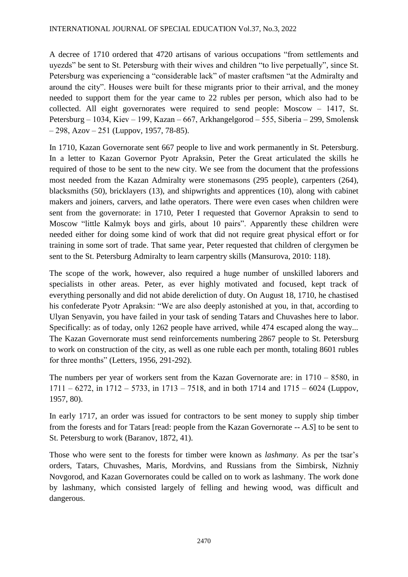A decree of 1710 ordered that 4720 artisans of various occupations "from settlements and uyezds" be sent to St. Petersburg with their wives and children "to live perpetually", since St. Petersburg was experiencing a "considerable lack" of master craftsmen "at the Admiralty and around the city". Houses were built for these migrants prior to their arrival, and the money needed to support them for the year came to 22 rubles per person, which also had to be collected. All eight governorates were required to send people: Moscow  $-1417$ , St. Petersburg – 1034, Kiev – 199, Kazan – 667, Arkhangelgorod – 555, Siberia – 299, Smolensk  $-298$ , Azov  $-251$  (Luppov, 1957, 78-85).

In 1710, Kazan Governorate sent 667 people to live and work permanently in St. Petersburg. In a letter to Kazan Governor Pyotr Apraksin, Peter the Great articulated the skills he required of those to be sent to the new city. We see from the document that the professions most needed from the Kazan Admiralty were stonemasons (295 people), carpenters (264), blacksmiths (50), bricklayers (13), and shipwrights and apprentices (10), along with cabinet makers and joiners, carvers, and lathe operators. There were even cases when children were sent from the governorate: in 1710, Peter I requested that Governor Apraksin to send to Moscow "little Kalmyk boys and girls, about 10 pairs". Apparently these children were needed either for doing some kind of work that did not require great physical effort or for training in some sort of trade. That same year, Peter requested that children of clergymen be sent to the St. Petersburg Admiralty to learn carpentry skills (Mansurova, 2010: 118).

The scope of the work, however, also required a huge number of unskilled laborers and specialists in other areas. Peter, as ever highly motivated and focused, kept track of everything personally and did not abide dereliction of duty. On August 18, 1710, he chastised his confederate Pyotr Apraksin: "We are also deeply astonished at you, in that, according to Ulyan Senyavin, you have failed in your task of sending Tatars and Chuvashes here to labor. Specifically: as of today, only 1262 people have arrived, while 474 escaped along the way... The Kazan Governorate must send reinforcements numbering 2867 people to St. Petersburg to work on construction of the city, as well as one ruble each per month, totaling 8601 rubles for three months" (Letters, 1956, 291-292).

The numbers per year of workers sent from the Kazan Governorate are: in  $1710 - 8580$ , in  $1711 - 6272$ , in  $1712 - 5733$ , in  $1713 - 7518$ , and in both  $1714$  and  $1715 - 6024$  (Luppov, 1957, 80).

In early 1717, an order was issued for contractors to be sent money to supply ship timber from the forests and for Tatars [read: people from the Kazan Governorate -- *A.S*] to be sent to St. Petersburg to work (Baranov, 1872, 41).

Those who were sent to the forests for timber were known as *lashmany*. As per the tsar's orders, Tatars, Chuvashes, Maris, Mordvins, and Russians from the Simbirsk, Nizhniy Novgorod, and Kazan Governorates could be called on to work as lashmany. The work done by lashmany, which consisted largely of felling and hewing wood, was difficult and dangerous.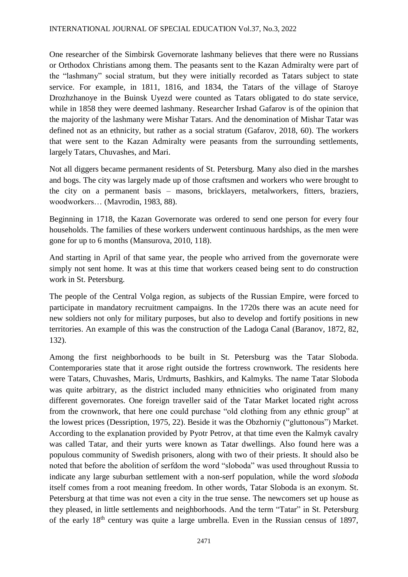One researcher of the Simbirsk Governorate lashmany believes that there were no Russians or Orthodox Christians among them. The peasants sent to the Kazan Admiralty were part of the "lashmany" social stratum, but they were initially recorded as Tatars subject to state service. For example, in 1811, 1816, and 1834, the Tatars of the village of Staroye Drozhzhanoye in the Buinsk Uyezd were counted as Tatars obligated to do state service, while in 1858 they were deemed lashmany. Researcher Irshad Gafarov is of the opinion that the majority of the lashmany were Mishar Tatars. And the denomination of Mishar Tatar was defined not as an ethnicity, but rather as a social stratum (Gafarov, 2018, 60). The workers that were sent to the Kazan Admiralty were peasants from the surrounding settlements, largely Tatars, Chuvashes, and Mari.

Not all diggers became permanent residents of St. Petersburg. Many also died in the marshes and bogs. The city was largely made up of those craftsmen and workers who were brought to the city on a permanent basis – masons, bricklayers, metalworkers, fitters, braziers, woodworkers… (Mavrodin, 1983, 88).

Beginning in 1718, the Kazan Governorate was ordered to send one person for every four households. The families of these workers underwent continuous hardships, as the men were gone for up to 6 months (Mansurova, 2010, 118).

And starting in April of that same year, the people who arrived from the governorate were simply not sent home. It was at this time that workers ceased being sent to do construction work in St. Petersburg.

The people of the Central Volga region, as subjects of the Russian Empire, were forced to participate in mandatory recruitment campaigns. In the 1720s there was an acute need for new soldiers not only for military purposes, but also to develop and fortify positions in new territories. An example of this was the construction of the Ladoga Canal (Baranov, 1872, 82, 132).

Among the first neighborhoods to be built in St. Petersburg was the Tatar Sloboda. Contemporaries state that it arose right outside the fortress crownwork. The residents here were Tatars, Chuvashes, Maris, Urdmurts, Bashkirs, and Kalmyks. The name Tatar Sloboda was quite arbitrary, as the district included many ethnicities who originated from many different governorates. One foreign traveller said of the Tatar Market located right across from the crownwork, that here one could purchase "old clothing from any ethnic group" at the lowest prices (Dessription, 1975, 22). Beside it was the Obzhorniy ("gluttonous") Market. According to the explanation provided by Pyotr Petrov, at that time even the Kalmyk cavalry was called Tatar, and their yurts were known as Tatar dwellings. Also found here was a populous community of Swedish prisoners, along with two of their priests. It should also be noted that before the abolition of serfdom the word "sloboda" was used throughout Russia to indicate any large suburban settlement with a non-serf population, while the word *sloboda* itself comes from a root meaning freedom. In other words, Tatar Sloboda is an exonym. St. Petersburg at that time was not even a city in the true sense. The newcomers set up house as they pleased, in little settlements and neighborhoods. And the term "Tatar" in St. Petersburg of the early  $18<sup>th</sup>$  century was quite a large umbrella. Even in the Russian census of 1897,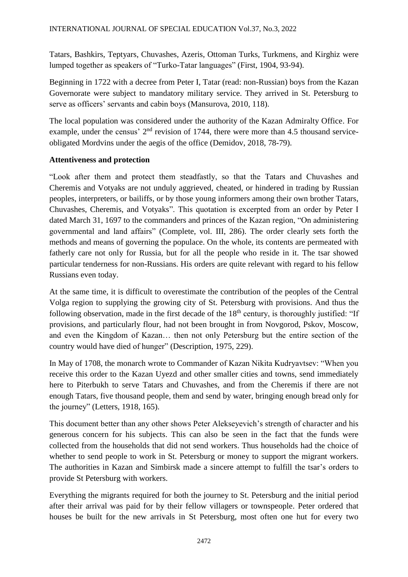Tatars, Bashkirs, Teptyars, Chuvashes, Azeris, Ottoman Turks, Turkmens, and Kirghiz were lumped together as speakers of "Turko-Tatar languages" (First, 1904, 93-94).

Beginning in 1722 with a decree from Peter I, Tatar (read: non-Russian) boys from the Kazan Governorate were subject to mandatory military service. They arrived in St. Petersburg to serve as officers' servants and cabin boys (Mansurova, 2010, 118).

The local population was considered under the authority of the Kazan Admiralty Office. For example, under the census'  $2<sup>nd</sup>$  revision of 1744, there were more than 4.5 thousand serviceobligated Mordvins under the aegis of the office (Demidov, 2018, 78-79).

## **Attentiveness and protection**

"Look after them and protect them steadfastly, so that the Tatars and Chuvashes and Cheremis and Votyaks are not unduly aggrieved, cheated, or hindered in trading by Russian peoples, interpreters, or bailiffs, or by those young informers among their own brother Tatars, Chuvashes, Cheremis, and Votyaks". This quotation is excerpted from an order by Peter I dated March 31, 1697 to the commanders and princes of the Kazan region, "On administering governmental and land affairs" (Complete, vol. III, 286). The order clearly sets forth the methods and means of governing the populace. On the whole, its contents are permeated with fatherly care not only for Russia, but for all the people who reside in it. The tsar showed particular tenderness for non-Russians. His orders are quite relevant with regard to his fellow Russians even today.

At the same time, it is difficult to overestimate the contribution of the peoples of the Central Volga region to supplying the growing city of St. Petersburg with provisions. And thus the following observation, made in the first decade of the  $18<sup>th</sup>$  century, is thoroughly justified: "If provisions, and particularly flour, had not been brought in from Novgorod, Pskov, Moscow, and even the Kingdom of Kazan… then not only Petersburg but the entire section of the country would have died of hunger" (Description, 1975, 229).

In May of 1708, the monarch wrote to Commander of Kazan Nikita Kudryavtsev: "When you receive this order to the Kazan Uyezd and other smaller cities and towns, send immediately here to Piterbukh to serve Tatars and Chuvashes, and from the Cheremis if there are not enough Tatars, five thousand people, them and send by water, bringing enough bread only for the journey" (Letters, 1918, 165).

This document better than any other shows Peter Alekseyevich's strength of character and his generous concern for his subjects. This can also be seen in the fact that the funds were collected from the households that did not send workers. Thus households had the choice of whether to send people to work in St. Petersburg or money to support the migrant workers. The authorities in Kazan and Simbirsk made a sincere attempt to fulfill the tsar's orders to provide St Petersburg with workers.

Everything the migrants required for both the journey to St. Petersburg and the initial period after their arrival was paid for by their fellow villagers or townspeople. Peter ordered that houses be built for the new arrivals in St Petersburg, most often one hut for every two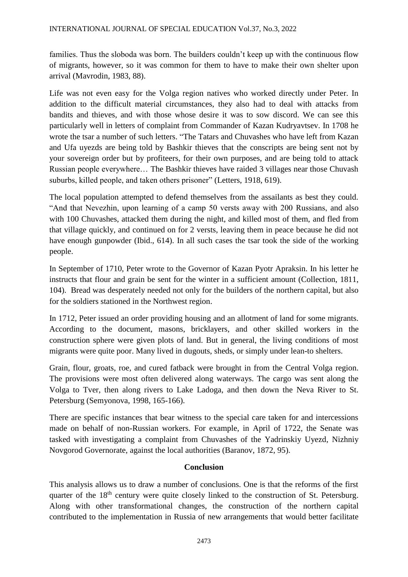families. Thus the sloboda was born. The builders couldn't keep up with the continuous flow of migrants, however, so it was common for them to have to make their own shelter upon arrival (Mavrodin, 1983, 88).

Life was not even easy for the Volga region natives who worked directly under Peter. In addition to the difficult material circumstances, they also had to deal with attacks from bandits and thieves, and with those whose desire it was to sow discord. We can see this particularly well in letters of complaint from Commander of Kazan Kudryavtsev. In 1708 he wrote the tsar a number of such letters. "The Tatars and Chuvashes who have left from Kazan and Ufa uyezds are being told by Bashkir thieves that the conscripts are being sent not by your sovereign order but by profiteers, for their own purposes, and are being told to attack Russian people everywhere… The Bashkir thieves have raided 3 villages near those Chuvash suburbs, killed people, and taken others prisoner" (Letters, 1918, 619).

The local population attempted to defend themselves from the assailants as best they could. "And that Nevezhin, upon learning of a camp 50 versts away with 200 Russians, and also with 100 Chuvashes, attacked them during the night, and killed most of them, and fled from that village quickly, and continued on for 2 versts, leaving them in peace because he did not have enough gunpowder (Ibid., 614). In all such cases the tsar took the side of the working people.

In September of 1710, Peter wrote to the Governor of Kazan Pyotr Apraksin. In his letter he instructs that flour and grain be sent for the winter in a sufficient amount (Collection, 1811, 104). Bread was desperately needed not only for the builders of the northern capital, but also for the soldiers stationed in the Northwest region.

In 1712, Peter issued an order providing housing and an allotment of land for some migrants. According to the document, masons, bricklayers, and other skilled workers in the construction sphere were given plots of land. But in general, the living conditions of most migrants were quite poor. Many lived in dugouts, sheds, or simply under lean-to shelters.

Grain, flour, groats, roe, and cured fatback were brought in from the Central Volga region. The provisions were most often delivered along waterways. The cargo was sent along the Volga to Tver, then along rivers to Lake Ladoga, and then down the Neva River to St. Petersburg (Semyonova, 1998, 165-166).

There are specific instances that bear witness to the special care taken for and intercessions made on behalf of non-Russian workers. For example, in April of 1722, the Senate was tasked with investigating a complaint from Chuvashes of the Yadrinskiy Uyezd, Nizhniy Novgorod Governorate, against the local authorities (Baranov, 1872, 95).

# **Conclusion**

This analysis allows us to draw a number of conclusions. One is that the reforms of the first quarter of the 18<sup>th</sup> century were quite closely linked to the construction of St. Petersburg. Along with other transformational changes, the construction of the northern capital contributed to the implementation in Russia of new arrangements that would better facilitate